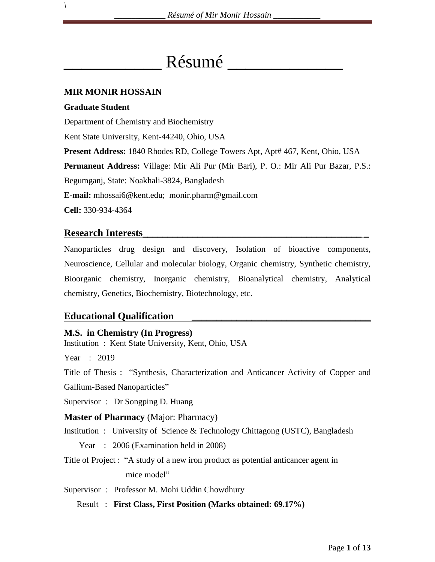# Résumé

# **MIR MONIR HOSSAIN**

## **Graduate Student**

*\*

Department of Chemistry and Biochemistry

Kent State University, Kent-44240, Ohio, USA

**Present Address:** 1840 Rhodes RD, College Towers Apt, Apt# 467, Kent, Ohio, USA

**Permanent Address:** Village: Mir Ali Pur (Mir Bari), P. O.: Mir Ali Pur Bazar, P.S.:

Begumganj, State: Noakhali-3824, Bangladesh

**E-mail:** mhossai6@kent.edu; monir.pharm@gmail.com

**Cell:** 330-934-4364

# **Research Interests\_\_\_\_\_\_\_\_\_\_\_\_\_\_\_\_\_\_\_\_\_\_\_\_\_\_\_\_\_\_\_\_\_\_\_\_\_\_\_\_\_\_\_\_ \_**

Nanoparticles drug design and discovery, Isolation of bioactive components, Neuroscience, Cellular and molecular biology, Organic chemistry, Synthetic chemistry, Bioorganic chemistry, Inorganic chemistry, Bioanalytical chemistry, Analytical chemistry, Genetics, Biochemistry, Biotechnology, etc.

# **Educational Qualification \_\_\_\_\_\_\_\_\_\_\_\_\_\_\_\_\_\_\_\_\_\_\_\_\_\_\_\_\_\_\_\_\_\_\_\_**

# **M.S. in Chemistry (In Progress)**

Institution : Kent State University, Kent, Ohio, USA

Year : 2019

Title of Thesis : "Synthesis, Characterization and Anticancer Activity of Copper and

Gallium-Based Nanoparticles"

Supervisor : Dr Songping D. Huang

# **Master of Pharmacy** (Major: Pharmacy)

Institution : University of Science & Technology Chittagong (USTC), Bangladesh

Year : 2006 (Examination held in 2008)

Title of Project : "A study of a new iron product as potential anticancer agent in mice model"

Supervisor : Professor M. Mohi Uddin Chowdhury

Result : **First Class, First Position (Marks obtained: 69.17%)**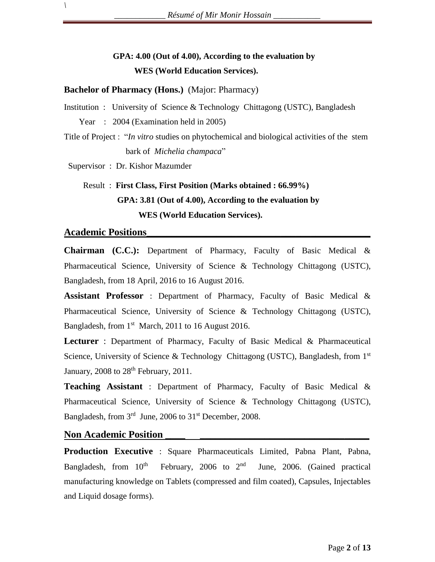# **GPA: 4.00 (Out of 4.00), According to the evaluation by WES (World Education Services).**

**Bachelor of Pharmacy (Hons.)** (Major: Pharmacy)

Institution : University of Science & Technology Chittagong (USTC), Bangladesh Year : 2004 (Examination held in 2005)

Title of Project : "*In vitro* studies on phytochemical and biological activities of the stem bark of *Michelia champaca*"

Supervisor : Dr. Kishor Mazumder

# Result : **First Class, First Position (Marks obtained : 66.99%) GPA: 3.81 (Out of 4.00), According to the evaluation by WES (World Education Services).**

#### **Academic Positions\_\_\_\_\_\_\_\_\_\_\_\_\_\_\_\_\_\_\_\_\_\_\_\_\_\_\_\_\_\_\_\_\_\_\_\_\_\_\_\_\_\_\_\_\_**

*\*

**Chairman (C.C.):** Department of Pharmacy, Faculty of Basic Medical & Pharmaceutical Science, University of Science & Technology Chittagong (USTC), Bangladesh, from 18 April, 2016 to 16 August 2016.

**Assistant Professor** : Department of Pharmacy, Faculty of Basic Medical & Pharmaceutical Science, University of Science & Technology Chittagong (USTC), Bangladesh, from 1<sup>st</sup> March, 2011 to 16 August 2016.

**Lecturer** : Department of Pharmacy, Faculty of Basic Medical & Pharmaceutical Science, University of Science & Technology Chittagong (USTC), Bangladesh, from 1st January,  $2008$  to  $28<sup>th</sup>$  February,  $2011$ .

**Teaching Assistant** : Department of Pharmacy, Faculty of Basic Medical & Pharmaceutical Science, University of Science & Technology Chittagong (USTC), Bangladesh, from 3<sup>rd</sup> June, 2006 to 31<sup>st</sup> December, 2008.

#### **Non Academic Position**

**Production Executive** : Square Pharmaceuticals Limited, Pabna Plant, Pabna, Bangladesh, from  $10<sup>th</sup>$ February, 2006 to  $2<sup>nd</sup>$  June, 2006. (Gained practical manufacturing knowledge on Tablets (compressed and film coated), Capsules, Injectables and Liquid dosage forms).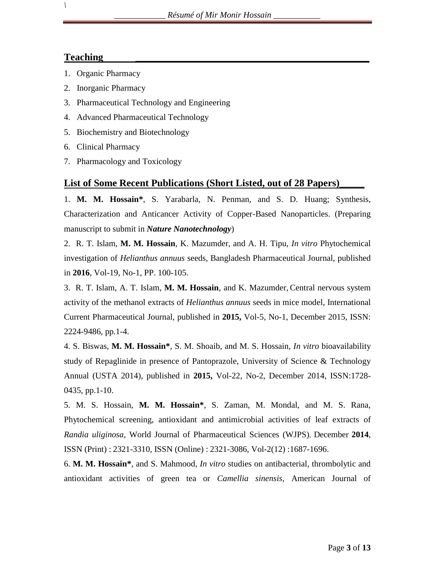# **Teaching \_\_\_\_\_\_\_\_\_\_\_\_\_\_\_\_\_\_\_\_\_\_\_\_\_\_\_\_\_\_\_\_\_\_\_\_\_\_\_\_\_\_\_\_\_\_\_**

*\*

- 1. Organic Pharmacy
- 2. Inorganic Pharmacy
- 3. Pharmaceutical Technology and Engineering
- 4. Advanced Pharmaceutical Technology
- 5. Biochemistry and Biotechnology
- 6. Clinical Pharmacy
- 7. Pharmacology and Toxicology

# **List of Some Recent Publications (Short Listed, out of 28 Papers)\_\_\_\_\_**

1. **M. M. Hossain\***, S. Yarabarla, N. Penman, and S. D. Huang; Synthesis, Characterization and Anticancer Activity of Copper-Based Nanoparticles. (Preparing manuscript to submit in *Nature Nanotechnology*)

2. R. T. Islam, **M. M. Hossain**, K. Mazumder, and A. H. Tipu, *In vitro* Phytochemical investigation of *Helianthus annuus* seeds, Bangladesh Pharmaceutical Journal, published in **2016**, Vol-19, No-1, PP. 100-105.

3. R. T. Islam, A. T. Islam, **M. M. Hossain**, and K. Mazumder, Central nervous system activity of the methanol extracts of *Helianthus annuus* seeds in mice model, International Current Pharmaceutical Journal, published in **2015,** Vol-5, No-1, December 2015, ISSN: 2224-9486, pp.1-4.

4. S. Biswas, **M. M. Hossain\***, S. M. Shoaib, and M. S. Hossain, *In vitro* bioavailability study of Repaglinide in presence of Pantoprazole, University of Science & Technology Annual (USTA 2014), published in **2015,** Vol-22, No-2, December 2014, ISSN:1728- 0435, pp.1-10.

5. M. S. Hossain, **M. M. Hossain\***, S. Zaman, M. Mondal, and M. S. Rana, Phytochemical screening, antioxidant and antimicrobial activities of leaf extracts of *Randia uliginosa*, World Journal of Pharmaceutical Sciences (WJPS), December **2014**, ISSN (Print) : 2321-3310, ISSN (Online) : 2321-3086, Vol-2(12) :1687-1696.

6. **M. M. Hossain\***, and S. Mahmood, *In vitro* studies on antibacterial, thrombolytic and antioxidant activities of green tea or *Camellia sinensis*, American Journal of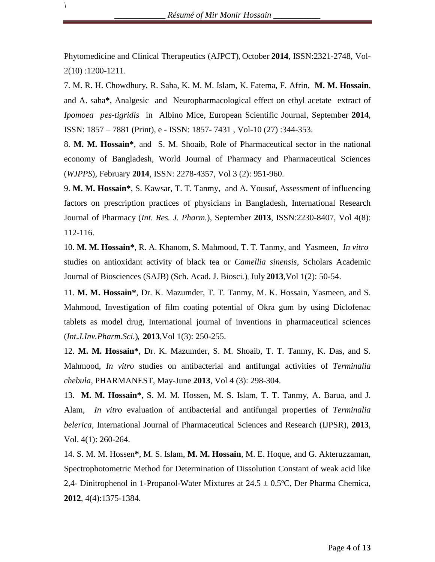Phytomedicine and Clinical Therapeutics (AJPCT), October **2014**, ISSN:2321-2748, Vol-2(10) :1200-1211.

7. M. R. H. Chowdhury, R. Saha, K. M. M. Islam, K. Fatema, F. Afrin, **M. M. Hossain**, and A. saha**\***, Analgesic and Neuropharmacological effect on ethyl acetate extract of *Ipomoea pes-tigridis* in Albino Mice, European Scientific Journal, September **2014**, ISSN: 1857 – 7881 (Print), e - ISSN: 1857- 7431 , Vol-10 (27) :344-353.

8. **M. M. Hossain\***, and S. M. Shoaib, Role of Pharmaceutical sector in the national economy of Bangladesh, World Journal of Pharmacy and Pharmaceutical Sciences (*WJPPS*), February **2014**, ISSN: 2278-4357, Vol 3 (2): 951-960.

9. **M. M. Hossain\***, S. Kawsar, T. T. Tanmy, and A. Yousuf, Assessment of influencing factors on prescription practices of physicians in Bangladesh, International Research Journal of Pharmacy (*Int. Res. J. Pharm.*), September **2013**, ISSN:2230-8407, Vol 4(8): 112-116.

10. **M. M. Hossain\***, R. A. Khanom, S. Mahmood, T. T. Tanmy, and Yasmeen, *In vitro* studies on antioxidant activity of black tea or *Camellia sinensis*, Scholars Academic Journal of Biosciences (SAJB) (Sch. Acad. J. Biosci*.*),July **2013**,Vol 1(2): 50-54.

11. **M. M. Hossain\***, Dr. K. Mazumder, T. T. Tanmy, M. K. Hossain, Yasmeen, and S. Mahmood, Investigation of film coating potential of Okra gum by using Diclofenac tablets as model drug, International journal of inventions in pharmaceutical sciences (*Int.J.Inv.Pharm.Sci.*)*,* **2013**,Vol 1(3): 250-255.

12. **M. M. Hossain\***, Dr. K. Mazumder, S. M. Shoaib, T. T. Tanmy, K. Das, and S. Mahmood, *In vitro* studies on antibacterial and antifungal activities of *Terminalia chebula*, PHARMANEST, May-June **2013**, Vol 4 (3): 298-304.

13. **M. M. Hossain\***, S. M. M. Hossen, M. S. Islam, T. T. Tanmy, A. Barua, and J. Alam, *In vitro* evaluation of antibacterial and antifungal properties of *Terminalia belerica*, International Journal of Pharmaceutical Sciences and Research (IJPSR), **2013**, Vol. 4(1): 260-264.

14. S. M. M. Hossen**\***, M. S. Islam, **M. M. Hossain**, M. E. Hoque, and G. Akteruzzaman, Spectrophotometric Method for Determination of Dissolution Constant of weak acid like 2,4- Dinitrophenol in 1-Propanol-Water Mixtures at  $24.5 \pm 0.5^{\circ}$ C, Der Pharma Chemica, **2012**, 4(4):1375-1384.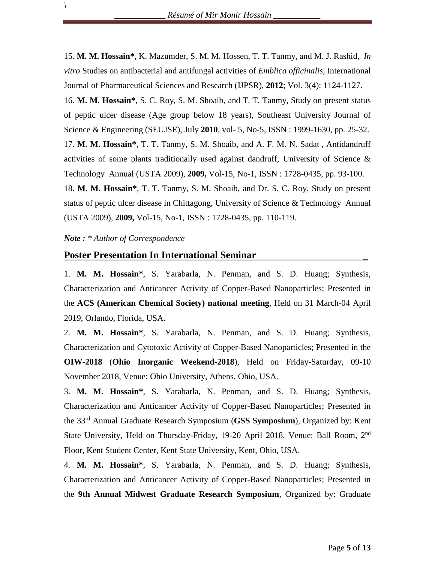15. **M. M. Hossain\***, K. Mazumder, S. M. M. Hossen, T. T. Tanmy, and M. J. Rashid, *In vitro* Studies on antibacterial and antifungal activities of *Emblica officinalis*, International Journal of Pharmaceutical Sciences and Research (IJPSR), **2012**; Vol. 3(4): 1124-1127.

16. **M. M. Hossain\***, S. C. Roy, S. M. Shoaib, and T. T. Tanmy, Study on present status of peptic ulcer disease (Age group below 18 years), Southeast University Journal of Science & Engineering (SEUJSE), July **2010**, vol- 5, No-5, ISSN : 1999-1630, pp. 25-32. 17. **M. M. Hossain\***, T. T. Tanmy, S. M. Shoaib, and A. F. M. N. Sadat , Antidandruff activities of some plants traditionally used against dandruff, University of Science & Technology Annual (USTA 2009), **2009,** Vol-15, No-1, ISSN : 1728-0435, pp. 93-100. 18. **M. M. Hossain\***, T. T. Tanmy, S. M. Shoaib, and Dr. S. C. Roy, Study on present status of peptic ulcer disease in Chittagong, University of Science & Technology Annual (USTA 2009), **2009,** Vol-15, No-1, ISSN : 1728-0435, pp. 110-119.

#### *Note : \* Author of Correspondence*

*\*

#### **Poster Presentation In International Seminar \_**

1. **M. M. Hossain\***, S. Yarabarla, N. Penman, and S. D. Huang; Synthesis, Characterization and Anticancer Activity of Copper-Based Nanoparticles; Presented in the **ACS (American Chemical Society) national meeting**, Held on 31 March-04 April 2019, Orlando, Florida, USA.

2. **M. M. Hossain\***, S. Yarabarla, N. Penman, and S. D. Huang; Synthesis, Characterization and Cytotoxic Activity of Copper-Based Nanoparticles; Presented in the **OIW-2018** (**Ohio Inorganic Weekend-2018**), Held on Friday-Saturday, 09-10 November 2018, Venue: Ohio University, Athens, Ohio, USA.

3. **M. M. Hossain\***, S. Yarabarla, N. Penman, and S. D. Huang; Synthesis, Characterization and Anticancer Activity of Copper-Based Nanoparticles; Presented in the 33rd Annual Graduate Research Symposium (**GSS Symposium**), Organized by: Kent State University, Held on Thursday-Friday, 19-20 April 2018, Venue: Ball Room, 2<sup>nd</sup> Floor, Kent Student Center, Kent State University, Kent, Ohio, USA.

4. **M. M. Hossain\***, S. Yarabarla, N. Penman, and S. D. Huang; Synthesis, Characterization and Anticancer Activity of Copper-Based Nanoparticles; Presented in the **9th Annual Midwest Graduate Research Symposium**, Organized by: Graduate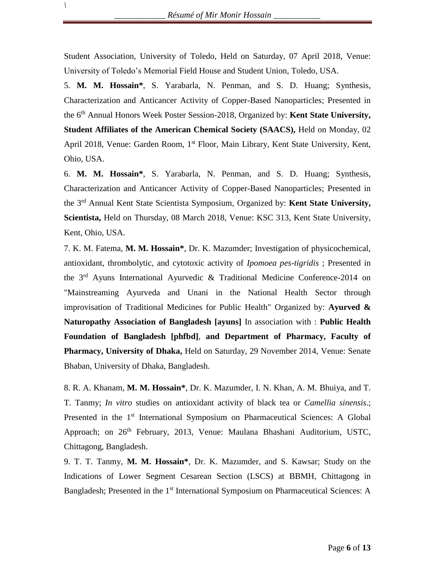Student Association, University of Toledo, Held on Saturday, 07 April 2018, Venue: University of Toledo's Memorial Field House and Student Union, Toledo, USA.

5. **M. M. Hossain\***, S. Yarabarla, N. Penman, and S. D. Huang; Synthesis, Characterization and Anticancer Activity of Copper-Based Nanoparticles; Presented in the 6 th Annual Honors Week Poster Session-2018, Organized by: **Kent State University, Student Affiliates of the American Chemical Society (SAACS),** Held on Monday, 02 April 2018, Venue: Garden Room, 1<sup>st</sup> Floor, Main Library, Kent State University, Kent, Ohio, USA.

6. **M. M. Hossain\***, S. Yarabarla, N. Penman, and S. D. Huang; Synthesis, Characterization and Anticancer Activity of Copper-Based Nanoparticles; Presented in the 3 rd Annual Kent State Scientista Symposium, Organized by: **Kent State University, Scientista,** Held on Thursday, 08 March 2018, Venue: KSC 313, Kent State University, Kent, Ohio, USA.

7. K. M. Fatema, **M. M. Hossain\***, Dr. K. Mazumder; Investigation of physicochemical, antioxidant, thrombolytic, and cytotoxic activity of *Ipomoea pes-tigridis* ; Presented in the  $3<sup>rd</sup>$  Ayuns International Ayurvedic & Traditional Medicine Conference-2014 on "Mainstreaming Ayurveda and Unani in the National Health Sector through improvisation of Traditional Medicines for Public Health" Organized by: **Ayurved & Naturopathy Association of Bangladesh [ayuns]** In association with : **Public Health Foundation of Bangladesh [phfbd]**, **and Department of Pharmacy, Faculty of Pharmacy, University of Dhaka,** Held on Saturday, 29 November 2014, Venue: Senate Bhaban, University of Dhaka, Bangladesh.

8. R. A. Khanam, **M. M. Hossain\***, Dr. K. Mazumder, I. N. Khan, A. M. Bhuiya, and T. T. Tanmy; *In vitro* studies on antioxidant activity of black tea or *Camellia sinensis*.; Presented in the 1<sup>st</sup> International Symposium on Pharmaceutical Sciences: A Global Approach; on 26<sup>th</sup> February, 2013, Venue: Maulana Bhashani Auditorium, USTC, Chittagong, Bangladesh.

9. T. T. Tanmy, **M. M. Hossain\***, Dr. K. Mazumder, and S. Kawsar; Study on the Indications of Lower Segment Cesarean Section (LSCS) at BBMH, Chittagong in Bangladesh; Presented in the 1<sup>st</sup> International Symposium on Pharmaceutical Sciences: A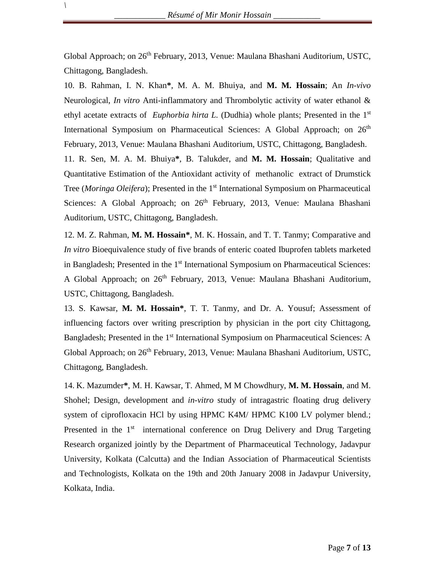Global Approach; on 26<sup>th</sup> February, 2013, Venue: Maulana Bhashani Auditorium, USTC, Chittagong, Bangladesh.

10. B. Rahman, I. N. Khan**\***, M. A. M. Bhuiya, and **M. M. Hossain**; An *In-vivo* Neurological, *In vitro* Anti-inflammatory and Thrombolytic activity of water ethanol & ethyl acetate extracts of *Euphorbia hirta L.* (Dudhia) whole plants; Presented in the 1<sup>st</sup> International Symposium on Pharmaceutical Sciences: A Global Approach; on 26<sup>th</sup> February, 2013, Venue: Maulana Bhashani Auditorium, USTC, Chittagong, Bangladesh. 11. R. Sen, M. A. M. Bhuiya**\***, B. Talukder, and **M. M. Hossain**; Qualitative and Quantitative Estimation of the Antioxidant activity of methanolic extract of Drumstick Tree (*Moringa Oleifera*); Presented in the 1<sup>st</sup> International Symposium on Pharmaceutical Sciences: A Global Approach; on 26<sup>th</sup> February, 2013, Venue: Maulana Bhashani Auditorium, USTC, Chittagong, Bangladesh.

12. M. Z. Rahman, **M. M. Hossain\***, M. K. Hossain, and T. T. Tanmy; Comparative and *In vitro* Bioequivalence study of five brands of enteric coated Ibuprofen tablets marketed in Bangladesh; Presented in the 1<sup>st</sup> International Symposium on Pharmaceutical Sciences: A Global Approach; on 26<sup>th</sup> February, 2013, Venue: Maulana Bhashani Auditorium, USTC, Chittagong, Bangladesh.

13. S. Kawsar, **M. M. Hossain\***, T. T. Tanmy, and Dr. A. Yousuf; Assessment of influencing factors over writing prescription by physician in the port city Chittagong, Bangladesh; Presented in the 1<sup>st</sup> International Symposium on Pharmaceutical Sciences: A Global Approach; on 26<sup>th</sup> February, 2013, Venue: Maulana Bhashani Auditorium, USTC, Chittagong, Bangladesh.

14. K. Mazumder**\***, M. H. Kawsar, T. Ahmed, M M Chowdhury, **M. M. Hossain**, and M. Shohel; Design, development and *in-vitro* study of intragastric floating drug delivery system of ciprofloxacin HCl by using HPMC K4M/ HPMC K100 LV polymer blend.; Presented in the  $1<sup>st</sup>$  international conference on Drug Delivery and Drug Targeting Research organized jointly by the Department of Pharmaceutical Technology, Jadavpur University, Kolkata (Calcutta) and the Indian Association of Pharmaceutical Scientists and Technologists, Kolkata on the 19th and 20th January 2008 in Jadavpur University, Kolkata, India.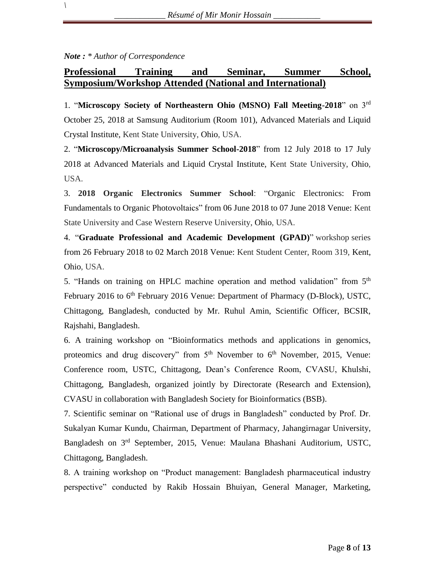#### *Note : \* Author of Correspondence*

*\*

# **Professional Training and Seminar, Summer School, Symposium/Workshop Attended (National and International)**

1. "**Microscopy Society of Northeastern Ohio (MSNO) Fall Meeting-2018**" on 3rd October 25, 2018 at Samsung Auditorium (Room 101), Advanced Materials and Liquid Crystal Institute, Kent State University, Ohio, USA.

2. "**Microscopy/Microanalysis Summer School-2018**" from 12 July 2018 to 17 July 2018 at Advanced Materials and Liquid Crystal Institute, Kent State University, Ohio, USA.

3. **2018 Organic Electronics Summer School**: "Organic Electronics: From Fundamentals to Organic Photovoltaics" from 06 June 2018 to 07 June 2018 Venue: Kent State University and Case Western Reserve University, Ohio, USA.

4. "**Graduate Professional and Academic Development (GPAD)**" workshop series from 26 February 2018 to 02 March 2018 Venue: Kent Student Center, Room 319, Kent, Ohio, USA.

5. "Hands on training on HPLC machine operation and method validation" from 5<sup>th</sup> February 2016 to 6<sup>th</sup> February 2016 Venue: Department of Pharmacy (D-Block), USTC, Chittagong, Bangladesh, conducted by Mr. Ruhul Amin, Scientific Officer, BCSIR, Rajshahi, Bangladesh.

6. A training workshop on "Bioinformatics methods and applications in genomics, proteomics and drug discovery" from  $5<sup>th</sup>$  November to  $6<sup>th</sup>$  November, 2015, Venue: Conference room, USTC, Chittagong, Dean's Conference Room, CVASU, Khulshi, Chittagong, Bangladesh, organized jointly by Directorate (Research and Extension), CVASU in collaboration with Bangladesh Society for Bioinformatics (BSB).

7. Scientific seminar on "Rational use of drugs in Bangladesh" conducted by Prof. Dr. Sukalyan Kumar Kundu, Chairman, Department of Pharmacy, Jahangirnagar University, Bangladesh on 3rd September, 2015, Venue: Maulana Bhashani Auditorium, USTC, Chittagong, Bangladesh.

8. A training workshop on "Product management: Bangladesh pharmaceutical industry perspective" conducted by Rakib Hossain Bhuiyan, General Manager, Marketing,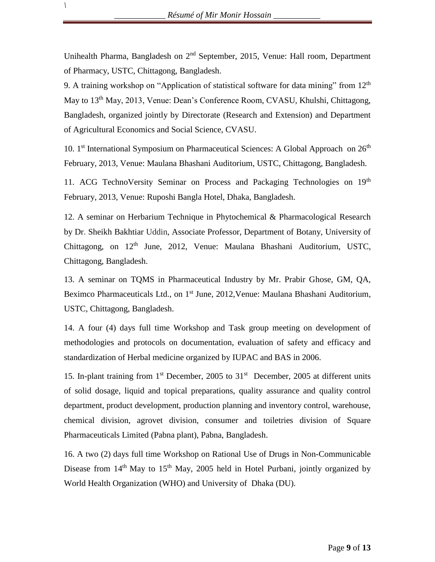Unihealth Pharma, Bangladesh on 2<sup>nd</sup> September, 2015, Venue: Hall room, Department of Pharmacy, USTC, Chittagong, Bangladesh.

9. A training workshop on "Application of statistical software for data mining" from  $12<sup>th</sup>$ May to 13<sup>th</sup> May, 2013, Venue: Dean's Conference Room, CVASU, Khulshi, Chittagong, Bangladesh, organized jointly by Directorate (Research and Extension) and Department of Agricultural Economics and Social Science, CVASU.

10. 1<sup>st</sup> International Symposium on Pharmaceutical Sciences: A Global Approach on  $26<sup>th</sup>$ February, 2013, Venue: Maulana Bhashani Auditorium, USTC, Chittagong, Bangladesh.

11. ACG TechnoVersity Seminar on Process and Packaging Technologies on 19<sup>th</sup> February, 2013, Venue: Ruposhi Bangla Hotel, Dhaka, Bangladesh.

12. A seminar on Herbarium Technique in Phytochemical & Pharmacological Research by Dr. Sheikh Bakhtiar Uddin, Associate Professor, Department of Botany, University of Chittagong, on  $12<sup>th</sup>$  June, 2012, Venue: Maulana Bhashani Auditorium, USTC, Chittagong, Bangladesh.

13. A seminar on TQMS in Pharmaceutical Industry by Mr. Prabir Ghose, GM, QA, Beximco Pharmaceuticals Ltd., on 1<sup>st</sup> June, 2012, Venue: Maulana Bhashani Auditorium, USTC, Chittagong, Bangladesh.

14. A four (4) days full time Workshop and Task group meeting on development of methodologies and protocols on documentation, evaluation of safety and efficacy and standardization of Herbal medicine organized by IUPAC and BAS in 2006.

15. In-plant training from  $1<sup>st</sup>$  December, 2005 to  $31<sup>st</sup>$  December, 2005 at different units of solid dosage, liquid and topical preparations, quality assurance and quality control department, product development, production planning and inventory control, warehouse, chemical division, agrovet division, consumer and toiletries division of Square Pharmaceuticals Limited (Pabna plant), Pabna, Bangladesh.

16. A two (2) days full time Workshop on Rational Use of Drugs in Non-Communicable Disease from  $14<sup>th</sup>$  May to  $15<sup>th</sup>$  May, 2005 held in Hotel Purbani, jointly organized by World Health Organization (WHO) and University of Dhaka (DU).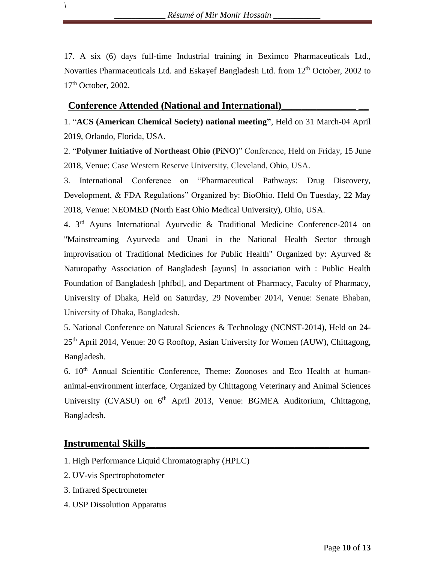17. A six (6) days full-time Industrial training in Beximco Pharmaceuticals Ltd., Novarties Pharmaceuticals Ltd. and Eskayef Bangladesh Ltd. from 12<sup>th</sup> October, 2002 to 17<sup>th</sup> October, 2002.

## **Conference Attended (National and International)\_\_\_\_\_\_\_\_\_\_\_\_\_\_\_ \_\_**

1. "**ACS (American Chemical Society) national meeting"**, Held on 31 March-04 April 2019, Orlando, Florida, USA.

2. "**Polymer Initiative of Northeast Ohio (PiNO)**" Conference, Held on Friday, 15 June 2018, Venue: Case Western Reserve University, Cleveland, Ohio, USA.

3. International Conference on "Pharmaceutical Pathways: Drug Discovery, Development, & FDA Regulations" Organized by: BioOhio. Held On Tuesday, 22 May 2018, Venue: NEOMED (North East Ohio Medical University), Ohio, USA.

4. 3rd Ayuns International Ayurvedic & Traditional Medicine Conference-2014 on "Mainstreaming Ayurveda and Unani in the National Health Sector through improvisation of Traditional Medicines for Public Health" Organized by: Ayurved & Naturopathy Association of Bangladesh [ayuns] In association with : Public Health Foundation of Bangladesh [phfbd], and Department of Pharmacy, Faculty of Pharmacy, University of Dhaka, Held on Saturday, 29 November 2014, Venue: Senate Bhaban, University of Dhaka, Bangladesh.

5. National Conference on Natural Sciences & Technology (NCNST-2014), Held on 24- 25<sup>th</sup> April 2014, Venue: 20 G Rooftop, Asian University for Women (AUW), Chittagong, Bangladesh.

6.  $10<sup>th</sup>$  Annual Scientific Conference, Theme: Zoonoses and Eco Health at humananimal-environment interface, Organized by Chittagong Veterinary and Animal Sciences University (CVASU) on 6<sup>th</sup> April 2013, Venue: BGMEA Auditorium, Chittagong, Bangladesh.

#### **Instrumental Skills\_\_\_\_\_\_\_\_\_\_\_\_\_\_\_\_\_\_\_\_\_\_\_\_\_\_\_\_\_\_\_\_\_\_\_\_\_\_\_\_\_\_\_\_\_**

*\*

- 1. High Performance Liquid Chromatography (HPLC)
- 2. UV-vis Spectrophotometer
- 3. Infrared Spectrometer
- 4. USP Dissolution Apparatus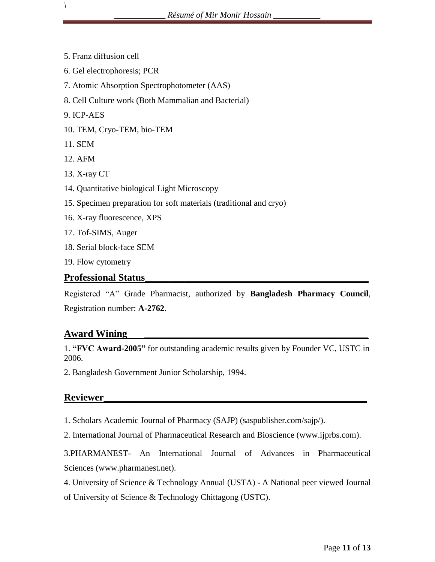- 5. Franz diffusion cell
- 6. Gel electrophoresis; PCR
- 7. Atomic Absorption Spectrophotometer (AAS)
- 8. Cell Culture work (Both Mammalian and Bacterial)
- 9. ICP-AES

- 10. TEM, Cryo-TEM, bio-TEM
- 11. SEM
- 12. AFM
- 13. X-ray CT
- 14. Quantitative biological Light Microscopy
- 15. Specimen preparation for soft materials (traditional and cryo)
- 16. X-ray fluorescence, XPS
- 17. Tof-SIMS, Auger
- 18. Serial block-face SEM
- 19. Flow cytometry

# **Professional Status\_\_\_\_\_\_\_\_\_\_\_\_\_\_\_\_\_\_\_\_\_\_\_\_\_\_\_\_\_\_\_\_\_\_\_\_\_\_\_\_\_\_\_\_\_**

Registered "A" Grade Pharmacist, authorized by **Bangladesh Pharmacy Council**, Registration number: **A-2762**.

#### **Award Wining \_\_\_\_\_\_\_\_\_\_\_\_\_\_\_\_\_\_\_\_\_\_\_\_\_\_\_\_\_\_\_\_\_\_\_\_\_\_\_\_\_\_\_\_\_**

1. **"FVC Award-2005"** for outstanding academic results given by Founder VC, USTC in 2006.

2. Bangladesh Government Junior Scholarship, 1994.

# **Reviewer\_\_\_\_\_\_\_\_\_\_\_\_\_\_\_\_\_\_\_\_\_\_\_\_\_\_\_\_\_\_\_\_\_\_\_\_\_\_\_\_\_\_\_\_\_\_\_\_\_\_\_\_\_**

1. Scholars Academic Journal of Pharmacy (SAJP) (saspublisher.com/sajp/).

2. International Journal of Pharmaceutical Research and Bioscience (www.ijprbs.com).

3.PHARMANEST- An International Journal of Advances in Pharmaceutical Sciences (www.pharmanest.net).

4. University of Science & Technology Annual (USTA) - A National peer viewed Journal of University of Science & Technology Chittagong (USTC).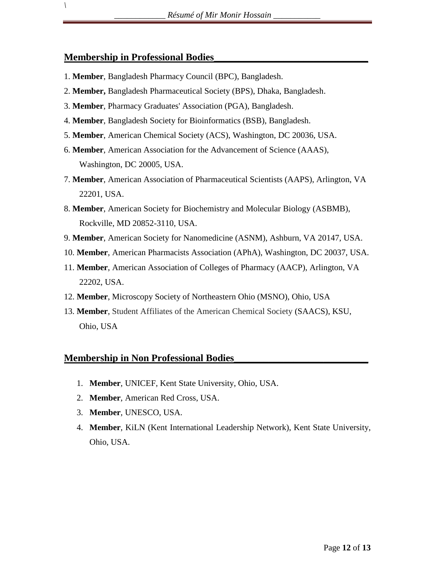## **Membership in Professional Bodies\_\_\_\_\_\_\_\_\_\_\_\_\_\_\_\_\_\_\_\_\_\_\_\_\_\_\_\_\_\_\_**

*\*

- 1. **Member**, Bangladesh Pharmacy Council (BPC), Bangladesh.
- 2. **Member,** Bangladesh Pharmaceutical Society (BPS), Dhaka, Bangladesh.
- 3. **Member**, Pharmacy Graduates' Association (PGA), Bangladesh.
- 4. **Member**, Bangladesh Society for Bioinformatics (BSB), Bangladesh.
- 5. **Member**, American Chemical Society (ACS), Washington, DC 20036, USA.
- 6. **Member**, American Association for the Advancement of Science (AAAS), Washington, DC 20005, USA.
- 7. **Member**, American Association of Pharmaceutical Scientists (AAPS), Arlington, VA 22201, USA.
- 8. **Member**, American Society for Biochemistry and Molecular Biology (ASBMB), Rockville, MD 20852-3110, USA.
- 9. **Member**, American Society for Nanomedicine (ASNM), Ashburn, VA 20147, USA.
- 10. **Member**, American Pharmacists Association (APhA), Washington, DC 20037, USA.
- 11. **Member**, American Association of Colleges of Pharmacy (AACP), Arlington, VA 22202, USA.
- 12. **Member**, Microscopy Society of Northeastern Ohio (MSNO), Ohio, USA
- 13. **Member**, Student Affiliates of the American Chemical Society (SAACS), KSU, Ohio, USA

# **Membership in Non Professional Bodies\_\_\_\_\_\_\_\_\_\_\_\_\_\_\_\_\_\_\_\_\_\_\_\_\_\_\_**

- 1. **Member**, UNICEF, Kent State University, Ohio, USA.
- 2. **Member**, American Red Cross, USA.
- 3. **Member**, UNESCO, USA.
- 4. **Member**, KiLN (Kent International Leadership Network), Kent State University, Ohio, USA.